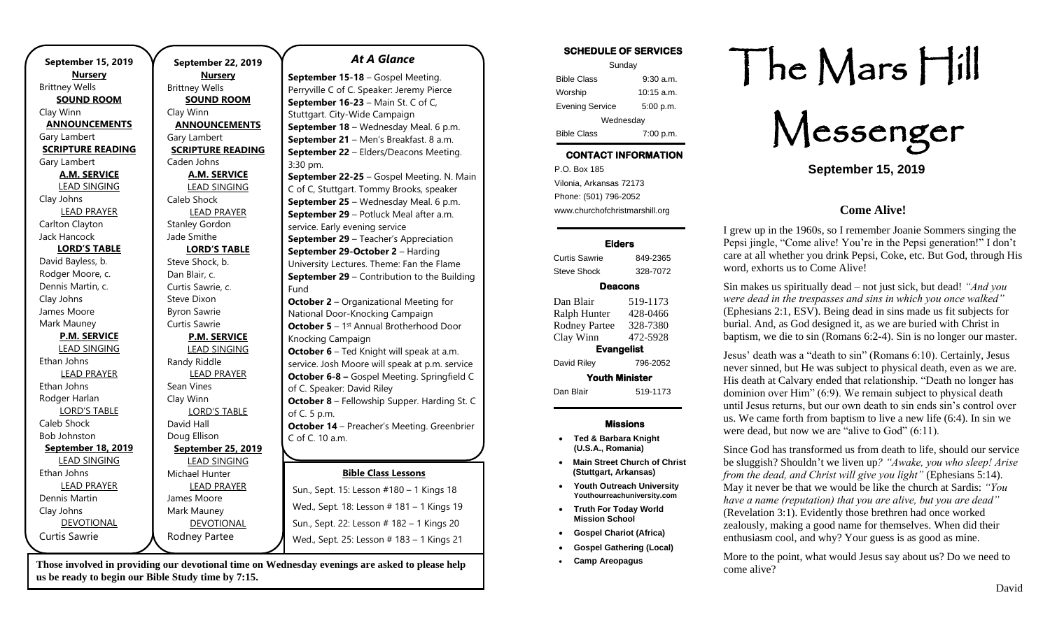| September 2           |
|-----------------------|
| <b>Nurser</b>         |
| <b>Brittney Wells</b> |
| <b>SOUND RO</b>       |
| Clay Winn             |
| <b>ANNOUNCE</b>       |
| Gary Lambert          |
| <b>SCRIPTURE RI</b>   |
| Caden Johns           |
| A.M. SERI             |
| <b>LEAD SING</b>      |
| Caleb Shock           |
| <b>LEAD PRA</b>       |
| <b>Stanley Gordon</b> |
| Jade Smithe           |
| <b>LORD'S TA</b>      |
| Steve Shock, b.       |
| Dan Blair, c.         |
| Curtis Sawrie, c.     |
| Steve Dixon           |
| <b>Byron Sawrie</b>   |
| Curtis Sawrie         |
| P.M. SER\             |
| <b>LEAD SING</b>      |
| Randy Riddle          |
| <b>LEAD PRA</b>       |
| Sean Vines            |
| Clay Winn             |
| <b>LORD'S TA</b>      |
| David Hall            |
| Doug Ellison          |
| September 2           |
| <b>LEAD SING</b>      |
| Michael Hunter        |
| <b>LEAD PRA</b>       |
| James Moore           |
| Mark Mauney           |
| <b>DEVOTIOI</b>       |
| Rodney Parte          |
|                       |

**September 22, 2019** ery **ROOM EMENTS READING RVICE NGING RAYER LORD'S TABLE** C. **RVICE NGING** RAYER **TABLE September 25, 2019 JGING** RAYER ONAL ee *At A Glance*  **September 15-18** – Gospel Meeting. Perryville C of C. Speaker: Jeremy Pierce **September 16-23** – Main St. C of C, Stuttgart. City-Wide Campaign **September 18** – Wednesday Meal. 6 p.m. **September 21** – Men's Breakfast. 8 a.m. **September 22** – Elders/Deacons Meeting. 3:30 pm. **September 22-25** – Gospel Meeting. N. Main C of C, Stuttgart. Tommy Brooks, speaker **September 25** – Wednesday Meal. 6 p.m. **September 29** – Potluck Meal after a.m. service. Early evening service **September 29 – Teacher's Appreciation September 29-October 2** – Harding University Lectures. Theme: Fan the Flame **September 29** – Contribution to the Building Fund **October 2** – Organizational Meeting for National Door-Knocking Campaign **October 5** - 1<sup>st</sup> Annual Brotherhood Door Knocking Campaign **October 6** – Ted Knight will speak at a.m. service. Josh Moore will speak at p.m. service **October 6-8 –** Gospel Meeting. Springfield C of C. Speaker: David Riley **October 8** – Fellowship Supper. Harding St. C of C. 5 p.m. **October 14** – Preacher's Meeting. Greenbrier C of C. 10 a.m. **October 20** – Elders/Deacons Meeting. 3:30 **November 16 Leasen # 101 - 1 Kings** Wed., Sept. 18: Lesson # 181 – 1 Kings 19 Sun., Sept. 22: Lesson # 182 – 1 Kings 20 **Bible Class Lessons** Sun., Sept. 15: Lesson #180 – 1 Kings 18 Wed., Sept. 25: Lesson # 183 – 1 Kings 21

Those involved in providing our devotional time on Wednesday evenings are asked to please help **December 1** – Jim Corner of WBS speaks at **us be ready to begin our Bible Study time by 7:15.** 

**November 17** – Elders/Deacons Meeting.

#### **SCHEDULE OF SERVICES**

| Sunday                 |              |  |
|------------------------|--------------|--|
| <b>Bible Class</b>     | $9:30$ a.m.  |  |
| Worship                | $10:15$ a.m. |  |
| <b>Evening Service</b> | 5:00 p.m.    |  |
| Wednesday              |              |  |
| <b>Bible Class</b>     | 7:00 p.m.    |  |

# **CONTACT INFORMATION**

. .o. Box 166<br>Vilonia, Arkansas 72173 P.O. Box 185 Phone: (501) 796-2052 www.churchofchristmarshill.org

### **Elders**

Curtis Sawrie 849-2365 Steve Shock 328-7072

## **Deacons**

| Dan Blair             | 519-1173 |  |
|-----------------------|----------|--|
| Ralph Hunter          | 428-0466 |  |
| <b>Rodney Partee</b>  | 328-7380 |  |
| Clay Winn             | 472-5928 |  |
| <b>Evangelist</b>     |          |  |
| David Riley           | 796-2052 |  |
| <b>Youth Minister</b> |          |  |
| Dan Blair             | 519-1173 |  |
|                       |          |  |

## **Missions**

- **Ted & Barbara Knight (U.S.A., Romania)**
- **Main Street Church of Christ (Stuttgart, Arkansas)**
- **Youth Outreach University Youthourreachuniversity.com**
- **Truth For Today World Mission School**
- **Gospel Chariot (Africa)**
- **Gospel Gathering (Local)**
- **Camp Areopagus**

# The Mars Hill

Messenger

**September 15, 2019**

## **Come Alive!**

I grew up in the 1960s, so I remember Joanie Sommers singing the Pepsi jingle, "Come alive! You're in the Pepsi generation!" I don't care at all whether you drink Pepsi, Coke, etc. But God, through His word, exhorts us to Come Alive!

Sin makes us spiritually dead – not just sick, but dead! *"And you were dead in the trespasses and sins in which you once walked"* (Ephesians 2:1, ESV). Being dead in sins made us fit subjects for burial. And, as God designed it, as we are buried with Christ in baptism, we die to sin (Romans 6:2-4). Sin is no longer our master.

Jesus' death was a "death to sin" (Romans 6:10). Certainly, Jesus never sinned, but He was subject to physical death, even as we are. His death at Calvary ended that relationship. "Death no longer has dominion over Him" (6:9). We remain subject to physical death until Jesus returns, but our own death to sin ends sin's control over us. We came forth from baptism to live a new life (6:4). In sin we were dead, but now we are "alive to God" (6:11).

Since God has transformed us from death to life, should our service be sluggish? Shouldn't we liven up*? "Awake, you who sleep! Arise from the dead, and Christ will give you light"* (Ephesians 5:14). May it never be that we would be like the church at Sardis: *"You have a name (reputation) that you are alive, but you are dead"* (Revelation 3:1). Evidently those brethren had once worked zealously, making a good name for themselves. When did their enthusiasm cool, and why? Your guess is as good as mine.

More to the point, what would Jesus say about us? Do we need to come alive?